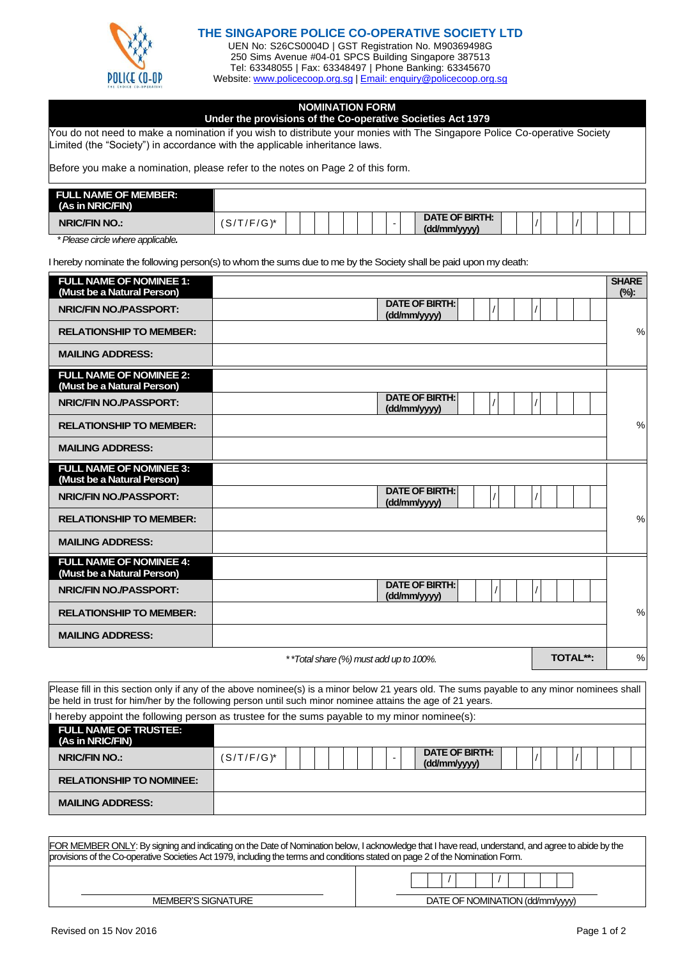

## **THE SINGAPORE POLICE CO-OPERATIVE SOCIETY LTD**

UEN No: S26CS0004D | GST Registration No. M90369498G 250 Sims Avenue #04-01 SPCS Building Singapore 387513 Tel: 63348055 | Fax: 63348497 | Phone Banking: 63345670 Website: [www.policecoop.org.sg](http://www.policecoop.org.sg/) [| Email: enquiry@policecoop.org.sg](mailto:enquiry@policecoop.org.sg)

## **NOMINATION FORM**

| Under the provisions of the Co-operative Societies Act 1979 |  |  |
|-------------------------------------------------------------|--|--|
|                                                             |  |  |
|                                                             |  |  |
|                                                             |  |  |

You do not need to make a nomination if you wish to distribute your monies with The Singapore Police Co-operative Society Limited (the "Society") in accordance with the applicable inheritance laws.

Before you make a nomination, please refer to the notes on Page 2 of this form.

| <b>FULL NAME OF MEMBER:</b><br>(As in NRIC/FIN) |            |  |  |  |                                |  |  |  |
|-------------------------------------------------|------------|--|--|--|--------------------------------|--|--|--|
| <b>NRIC/FIN NO.:</b>                            | (S/T/F/G)* |  |  |  | DATE OF BIRTH:<br>(dd/mm/yyyy) |  |  |  |

*\* Please circle where applicable.*

I hereby nominate the following person(s) to whom the sums due to me by the Society shall be paid upon my death:

| <b>FULL NAME OF NOMINEE 1:</b><br>(Must be a Natural Person) |                                       | <b>SHARE</b><br>$(\%)$ : |
|--------------------------------------------------------------|---------------------------------------|--------------------------|
| <b>NRIC/FIN NO./PASSPORT:</b>                                | <b>DATE OF BIRTH:</b><br>(dd/mm/yyyy) |                          |
| <b>RELATIONSHIP TO MEMBER:</b>                               |                                       | $\%$                     |
| <b>MAILING ADDRESS:</b>                                      |                                       |                          |
| <b>FULL NAME OF NOMINEE 2:</b><br>(Must be a Natural Person) |                                       |                          |
| <b>NRIC/FIN NO./PASSPORT:</b>                                | <b>DATE OF BIRTH:</b><br>(dd/mm/yyyy) |                          |
| <b>RELATIONSHIP TO MEMBER:</b>                               |                                       | %                        |
| <b>MAILING ADDRESS:</b>                                      |                                       |                          |
| <b>FULL NAME OF NOMINEE 3:</b><br>(Must be a Natural Person) |                                       |                          |
| <b>NRIC/FIN NO./PASSPORT:</b>                                | <b>DATE OF BIRTH:</b><br>(dd/mm/yyyy) |                          |
| <b>RELATIONSHIP TO MEMBER:</b>                               |                                       | $\%$                     |
| <b>MAILING ADDRESS:</b>                                      |                                       |                          |
| <b>FULL NAME OF NOMINEE 4:</b><br>(Must be a Natural Person) |                                       |                          |
| <b>NRIC/FIN NO./PASSPORT:</b>                                | <b>DATE OF BIRTH:</b><br>(dd/mm/yyyy) |                          |
| <b>RELATIONSHIP TO MEMBER:</b>                               |                                       | %                        |
| <b>MAILING ADDRESS:</b>                                      |                                       |                          |

*\* \*Total share (%) must add up to 100%.* **TOTAL\*\*:** %

Please fill in this section only if any of the above nominee(s) is a minor below 21 years old. The sums payable to any minor nominees shall be held in trust for him/her by the following person until such minor nominee attains the age of 21 years.

| hereby appoint the following person as trustee for the sums payable to my minor nominee(s): |               |  |  |  |                                |  |  |  |  |
|---------------------------------------------------------------------------------------------|---------------|--|--|--|--------------------------------|--|--|--|--|
| <b>FULL NAME OF TRUSTEE:</b><br>(As in NRIC/FIN)                                            |               |  |  |  |                                |  |  |  |  |
| <b>NRIC/FIN NO.:</b>                                                                        | $(S/T/F/G)^*$ |  |  |  | DATE OF BIRTH:<br>(dd/mm/yyyy) |  |  |  |  |
| <b>RELATIONSHIP TO NOMINEE:</b>                                                             |               |  |  |  |                                |  |  |  |  |
| <b>MAILING ADDRESS:</b>                                                                     |               |  |  |  |                                |  |  |  |  |

| FOR MEMBER ONLY: By signing and indicating on the Date of Nomination below, I acknowledge that I have read, understand, and agree to abide by the<br>provisions of the Co-operative Societies Act 1979, including the terms and conditions stated on page 2 of the Nomination Form. |                                 |  |  |  |  |  |
|-------------------------------------------------------------------------------------------------------------------------------------------------------------------------------------------------------------------------------------------------------------------------------------|---------------------------------|--|--|--|--|--|
|                                                                                                                                                                                                                                                                                     |                                 |  |  |  |  |  |
| <b>MEMBER'S SIGNATURE</b>                                                                                                                                                                                                                                                           | DATE OF NOMINATION (dd/mm/yyyy) |  |  |  |  |  |